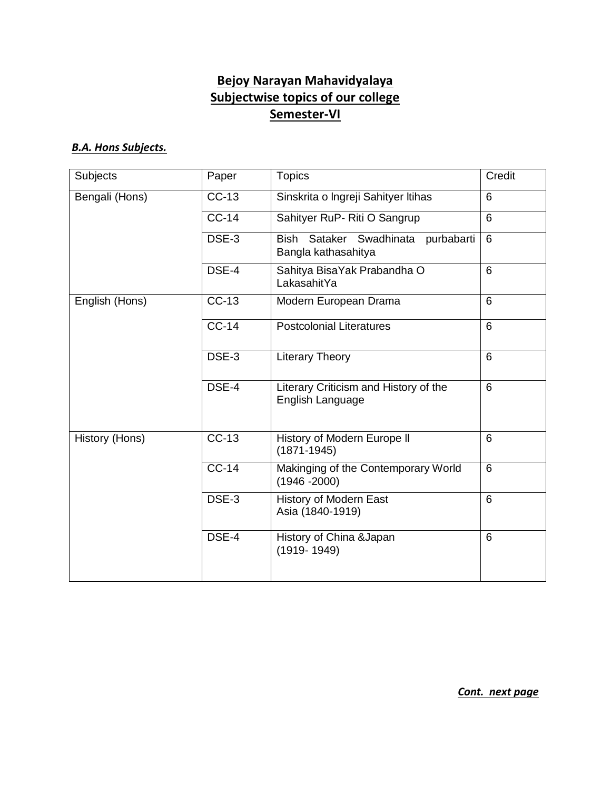# **Bejoy Narayan Mahavidyalaya Subjectwise topics of our college Semester-VI**

#### *B.A. Hons Subjects.*

| <b>Subjects</b> | Paper        | <b>Topics</b>                                                | Credit         |
|-----------------|--------------|--------------------------------------------------------------|----------------|
| Bengali (Hons)  | $CC-13$      | Sinskrita o Ingreji Sahityer Itihas                          | 6              |
|                 | <b>CC-14</b> | Sahityer RuP- Riti O Sangrup                                 | 6              |
|                 | DSE-3        | Sataker Swadhinata purbabarti<br>Bish<br>Bangla kathasahitya | $\overline{6}$ |
|                 | DSE-4        | Sahitya BisaYak Prabandha O<br>LakasahitYa                   | 6              |
| English (Hons)  | $CC-13$      | Modern European Drama                                        | 6              |
|                 | $CC-14$      | <b>Postcolonial Literatures</b>                              | 6              |
|                 | DSE-3        | <b>Literary Theory</b>                                       | 6              |
|                 | DSE-4        | Literary Criticism and History of the<br>English Language    | 6              |
| History (Hons)  | $CC-13$      | History of Modern Europe II<br>$(1871 - 1945)$               | 6              |
|                 | <b>CC-14</b> | Makinging of the Contemporary World<br>$(1946 - 2000)$       | 6              |
|                 | DSE-3        | <b>History of Modern East</b><br>Asia (1840-1919)            | 6              |
|                 | DSE-4        | History of China & Japan<br>$(1919 - 1949)$                  | 6              |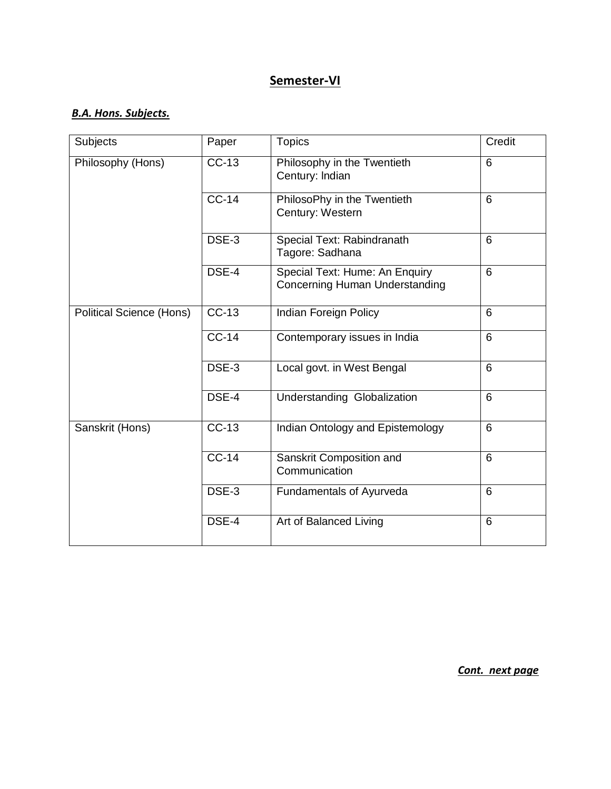## *B.A. Hons. Subjects.*

| <b>Subjects</b>                 | Paper   | <b>Topics</b>                                                           | Credit |
|---------------------------------|---------|-------------------------------------------------------------------------|--------|
| Philosophy (Hons)               | CC-13   | Philosophy in the Twentieth<br>Century: Indian                          | 6      |
|                                 | $CC-14$ | PhilosoPhy in the Twentieth<br>Century: Western                         | 6      |
|                                 | DSE-3   | Special Text: Rabindranath<br>Tagore: Sadhana                           | 6      |
|                                 | DSE-4   | Special Text: Hume: An Enquiry<br><b>Concerning Human Understanding</b> | 6      |
| <b>Political Science (Hons)</b> | $CC-13$ | Indian Foreign Policy                                                   | 6      |
|                                 | $CC-14$ | Contemporary issues in India                                            | 6      |
|                                 | DSE-3   | Local govt. in West Bengal                                              | 6      |
|                                 | DSE-4   | <b>Understanding Globalization</b>                                      | 6      |
| Sanskrit (Hons)                 | $CC-13$ | Indian Ontology and Epistemology                                        | 6      |
|                                 | $CC-14$ | Sanskrit Composition and<br>Communication                               | 6      |
|                                 | DSE-3   | Fundamentals of Ayurveda                                                | 6      |
|                                 | DSE-4   | Art of Balanced Living                                                  | 6      |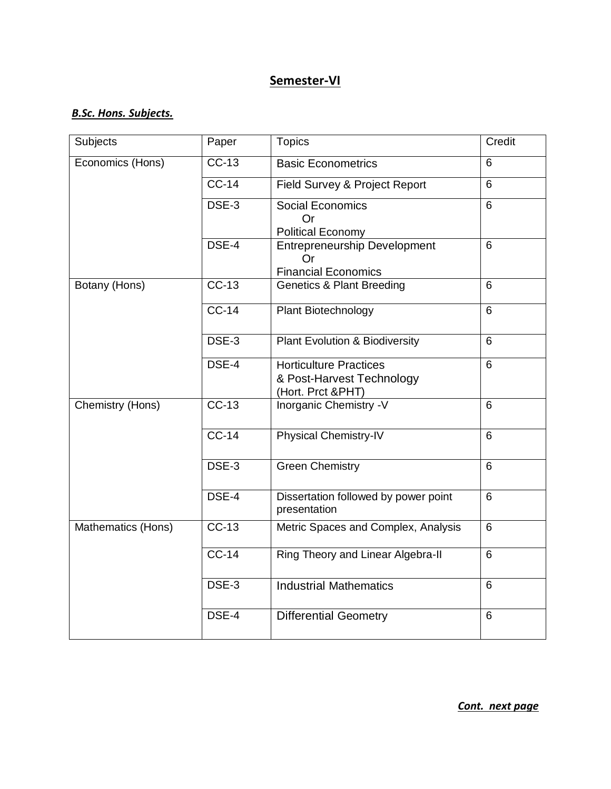#### *B.Sc. Hons. Subjects.*

| Subjects           | Paper   | <b>Topics</b>                                                                   | Credit         |
|--------------------|---------|---------------------------------------------------------------------------------|----------------|
| Economics (Hons)   | $CC-13$ | <b>Basic Econometrics</b>                                                       | 6              |
|                    | $CC-14$ | Field Survey & Project Report                                                   | $6\phantom{1}$ |
|                    | DSE-3   | <b>Social Economics</b><br><b>Or</b>                                            | 6              |
|                    |         | <b>Political Economy</b>                                                        |                |
|                    | DSE-4   | <b>Entrepreneurship Development</b><br>Or<br><b>Financial Economics</b>         | 6              |
| Botany (Hons)      | $CC-13$ | <b>Genetics &amp; Plant Breeding</b>                                            | 6              |
|                    | $CC-14$ | Plant Biotechnology                                                             | $6\phantom{1}$ |
|                    | DSE-3   | <b>Plant Evolution &amp; Biodiversity</b>                                       | 6              |
|                    | DSE-4   | <b>Horticulture Practices</b><br>& Post-Harvest Technology<br>(Hort. Prct &PHT) | 6              |
| Chemistry (Hons)   | $CC-13$ | <b>Inorganic Chemistry -V</b>                                                   | 6              |
|                    | $CC-14$ | <b>Physical Chemistry-IV</b>                                                    | 6              |
|                    | DSE-3   | <b>Green Chemistry</b>                                                          | 6              |
|                    | DSE-4   | Dissertation followed by power point<br>presentation                            | $6\phantom{1}$ |
| Mathematics (Hons) | $CC-13$ | Metric Spaces and Complex, Analysis                                             | 6              |
|                    | $CC-14$ | Ring Theory and Linear Algebra-II                                               | 6              |
|                    | DSE-3   | <b>Industrial Mathematics</b>                                                   | 6              |
|                    | DSE-4   | <b>Differential Geometry</b>                                                    | $6\phantom{1}$ |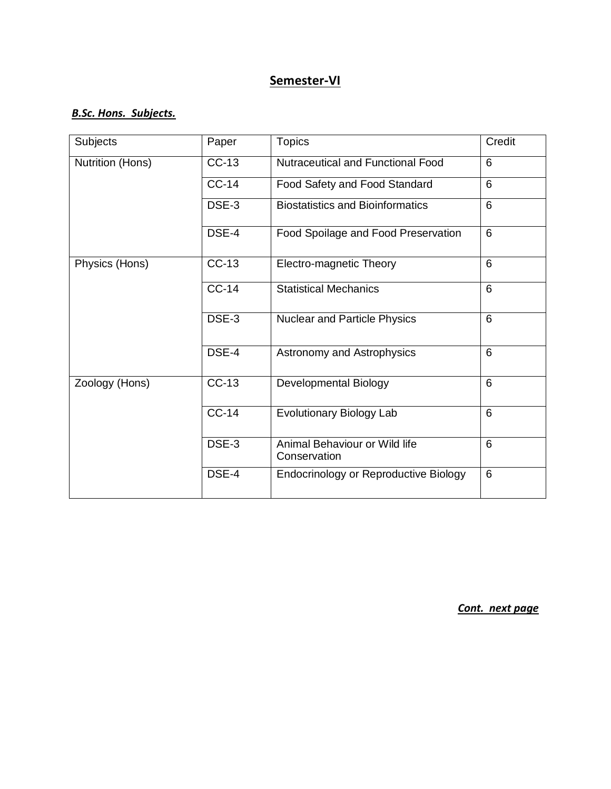#### *B.Sc. Hons. Subjects.*

| Subjects         | Paper   | <b>Topics</b>                                 | Credit         |
|------------------|---------|-----------------------------------------------|----------------|
| Nutrition (Hons) | $CC-13$ | <b>Nutraceutical and Functional Food</b>      | 6              |
|                  | $CC-14$ | Food Safety and Food Standard                 | 6              |
|                  | DSE-3   | <b>Biostatistics and Bioinformatics</b>       | $6\phantom{1}$ |
|                  | DSE-4   | Food Spoilage and Food Preservation           | 6              |
| Physics (Hons)   | $CC-13$ | Electro-magnetic Theory                       | $6\phantom{1}$ |
|                  | $CC-14$ | <b>Statistical Mechanics</b>                  | 6              |
|                  | DSE-3   | <b>Nuclear and Particle Physics</b>           | 6              |
|                  | DSE-4   | Astronomy and Astrophysics                    | $6\phantom{1}$ |
| Zoology (Hons)   | $CC-13$ | Developmental Biology                         | $6\phantom{1}$ |
|                  | $CC-14$ | Evolutionary Biology Lab                      | 6              |
|                  | DSE-3   | Animal Behaviour or Wild life<br>Conservation | $6\phantom{1}$ |
|                  | DSE-4   | Endocrinology or Reproductive Biology         | $6\phantom{1}$ |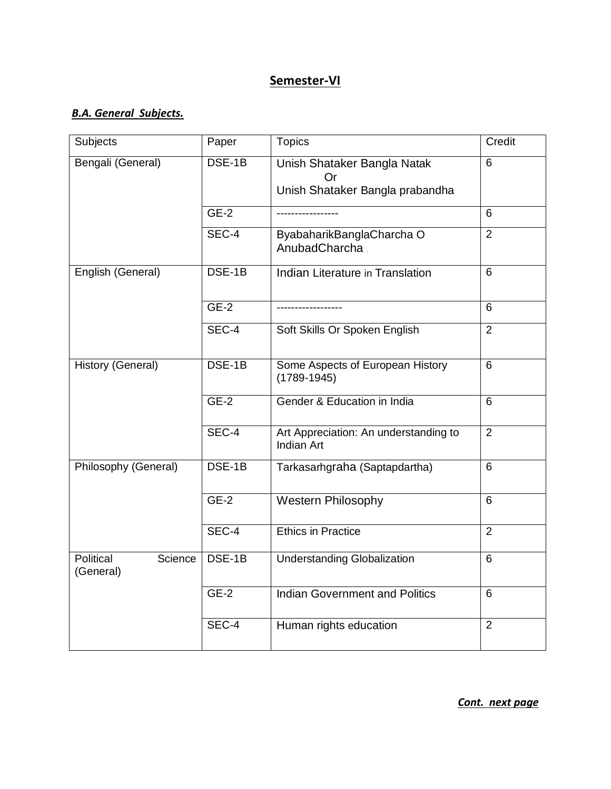#### *B.A. General Subjects.*

| Subjects                          | Paper  | <b>Topics</b>                                       | Credit         |
|-----------------------------------|--------|-----------------------------------------------------|----------------|
| Bengali (General)                 | DSE-1B | Unish Shataker Bangla Natak<br>Or                   | 6              |
|                                   |        | Unish Shataker Bangla prabandha                     |                |
|                                   | $GE-2$ | ----------------                                    | 6              |
|                                   | SEC-4  | ByabaharikBanglaCharcha O<br>AnubadCharcha          | $\overline{2}$ |
| English (General)                 | DSE-1B | Indian Literature in Translation                    | $6\phantom{1}$ |
|                                   | $GE-2$ |                                                     | 6              |
|                                   | SEC-4  | Soft Skills Or Spoken English                       | $\overline{2}$ |
| History (General)                 | DSE-1B | Some Aspects of European History<br>$(1789 - 1945)$ | $6\phantom{1}$ |
|                                   | $GE-2$ | Gender & Education in India                         | 6              |
|                                   | SEC-4  | Art Appreciation: An understanding to<br>Indian Art | $\overline{2}$ |
| Philosophy (General)              | DSE-1B | Tarkasarhgraha (Saptapdartha)                       | 6              |
|                                   | $GE-2$ | <b>Western Philosophy</b>                           | 6              |
|                                   | SEC-4  | <b>Ethics in Practice</b>                           | $\overline{2}$ |
| Political<br>Science<br>(General) | DSE-1B | <b>Understanding Globalization</b>                  | $6\phantom{1}$ |
|                                   | $GE-2$ | <b>Indian Government and Politics</b>               | 6              |
|                                   | SEC-4  | Human rights education                              | $\overline{2}$ |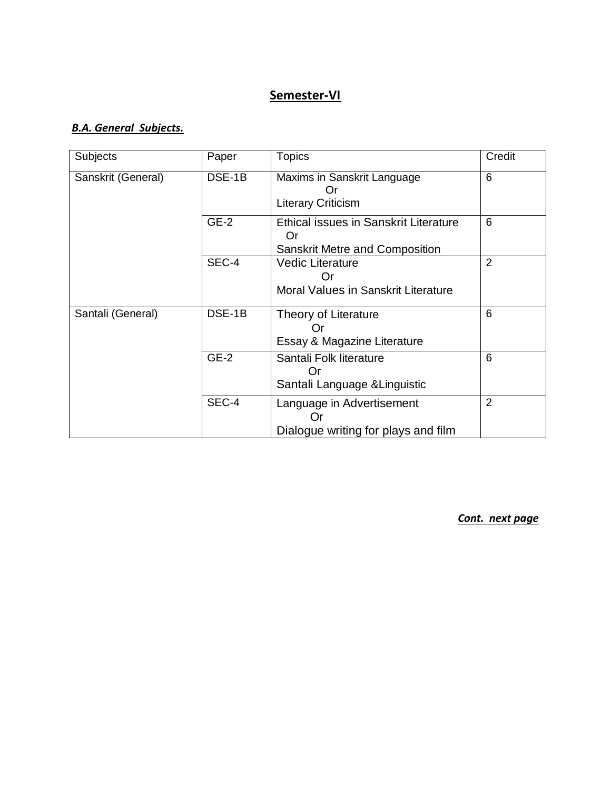## *B.A. General Subjects.*

| Subjects           | Paper  | <b>Topics</b>                                                                               | Credit         |
|--------------------|--------|---------------------------------------------------------------------------------------------|----------------|
| Sanskrit (General) | DSE-1B | Maxims in Sanskrit Language<br><b>Literary Criticism</b>                                    | 6              |
|                    | $GE-2$ | <b>Ethical issues in Sanskrit Literature</b><br>Or<br><b>Sanskrit Metre and Composition</b> | 6              |
|                    | SEC-4  | <b>Vedic Literature</b><br>Or<br>Moral Values in Sanskrit Literature                        | $\overline{2}$ |
| Santali (General)  | DSE-1B | Theory of Literature<br>()r<br>Essay & Magazine Literature                                  | 6              |
|                    | $GE-2$ | Santali Folk literature<br>Santali Language & Linguistic                                    | 6              |
|                    | SEC-4  | Language in Advertisement<br>Or<br>Dialogue writing for plays and film                      | $\overline{2}$ |